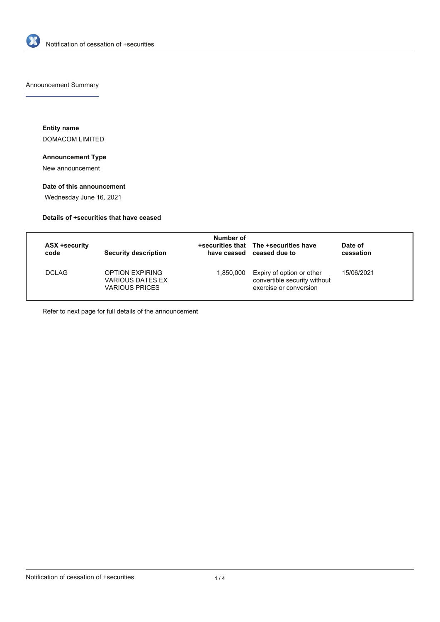

Announcement Summary

**Entity name** DOMACOM LIMITED

## **Announcement Type**

New announcement

## **Date of this announcement**

Wednesday June 16, 2021

## **Details of +securities that have ceased**

| <b>ASX +security</b><br>code | <b>Security description</b>                                         | Number of | +securities that The +securities have<br>have ceased ceased due to                  | Date of<br>cessation |
|------------------------------|---------------------------------------------------------------------|-----------|-------------------------------------------------------------------------------------|----------------------|
| DCI AG.                      | <b>OPTION EXPIRING</b><br>VARIOUS DATES EX<br><b>VARIOUS PRICES</b> | 1.850.000 | Expiry of option or other<br>convertible security without<br>exercise or conversion | 15/06/2021           |

Refer to next page for full details of the announcement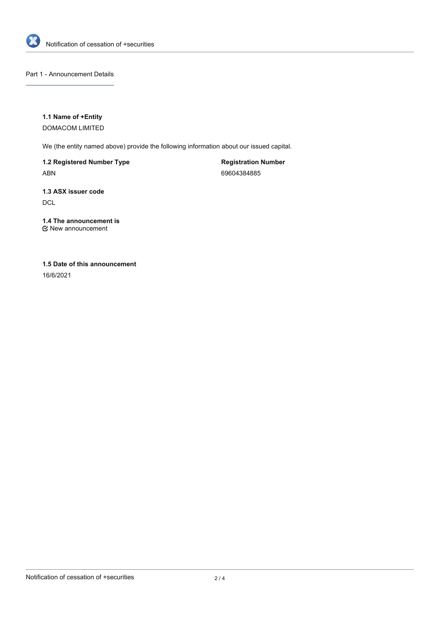

Part 1 - Announcement Details

**1.1 Name of +Entity**

DOMACOM LIMITED

We (the entity named above) provide the following information about our issued capital.

**1.2 Registered Number Type** ABN

**Registration Number** 69604384885

**1.3 ASX issuer code DCL** 

**1.4 The announcement is** New announcement

**1.5 Date of this announcement**

16/6/2021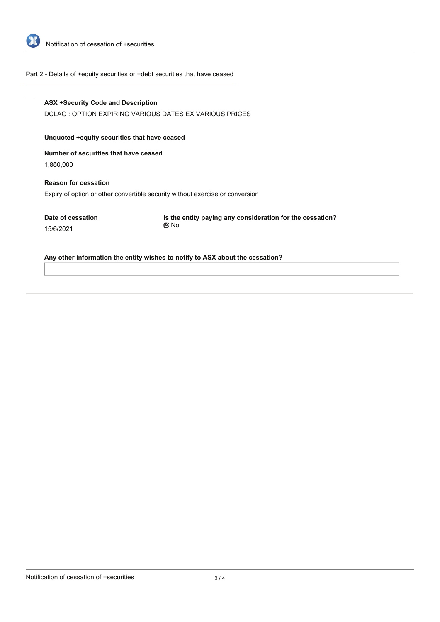

Part 2 - Details of +equity securities or +debt securities that have ceased

| Unquoted + equity securities that have ceased |                                                                               |
|-----------------------------------------------|-------------------------------------------------------------------------------|
| Number of securities that have ceased         |                                                                               |
| 1,850,000                                     |                                                                               |
| <b>Reason for cessation</b>                   |                                                                               |
|                                               | Expiry of option or other convertible security without exercise or conversion |
| Date of cessation                             | Is the entity paying any consideration for the cessation?                     |
| 15/6/2021                                     | ় No                                                                          |